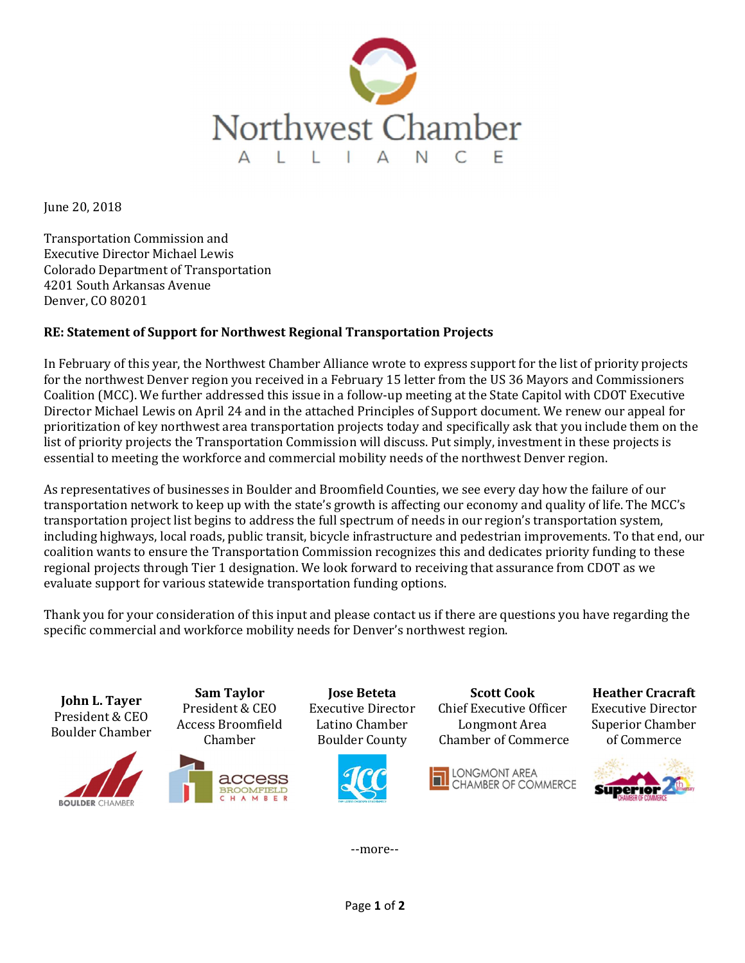

June 20, 2018

Transportation Commission and Executive Director Michael Lewis Colorado Department of Transportation 4201 South Arkansas Avenue Denver, CO 80201

## RE: Statement of Support for Northwest Regional Transportation Projects

In February of this year, the Northwest Chamber Alliance wrote to express support for the list of priority projects for the northwest Denver region you received in a February 15 letter from the US 36 Mayors and Commissioners Coalition (MCC). We further addressed this issue in a follow-up meeting at the State Capitol with CDOT Executive Director Michael Lewis on April 24 and in the attached Principles of Support document. We renew our appeal for prioritization of key northwest area transportation projects today and specifically ask that you include them on the list of priority projects the Transportation Commission will discuss. Put simply, investment in these projects is essential to meeting the workforce and commercial mobility needs of the northwest Denver region.

As representatives of businesses in Boulder and Broomfield Counties, we see every day how the failure of our transportation network to keep up with the state's growth is affecting our economy and quality of life. The MCC's transportation project list begins to address the full spectrum of needs in our region's transportation system, including highways, local roads, public transit, bicycle infrastructure and pedestrian improvements. To that end, our coalition wants to ensure the Transportation Commission recognizes this and dedicates priority funding to these regional projects through Tier 1 designation. We look forward to receiving that assurance from CDOT as we evaluate support for various statewide transportation funding options.

Thank you for your consideration of this input and please contact us if there are questions you have regarding the specific commercial and workforce mobility needs for Denver's northwest region.

Sam Taylor Jose Beteta Scott Cook Heather Cracraft John L. Tayer President & CEO Executive Director Chief Executive Officer Executive Director President & CEO Access Broomfield Latino Chamber Longmont Area Superior Chamber Boulder Chamber Chamber Boulder County Chamber of Commerce of Commerce **LONGMONT AREA** CHAMBER OF COMMERCE **Superior BOULDER CHAMBER** 

--more--